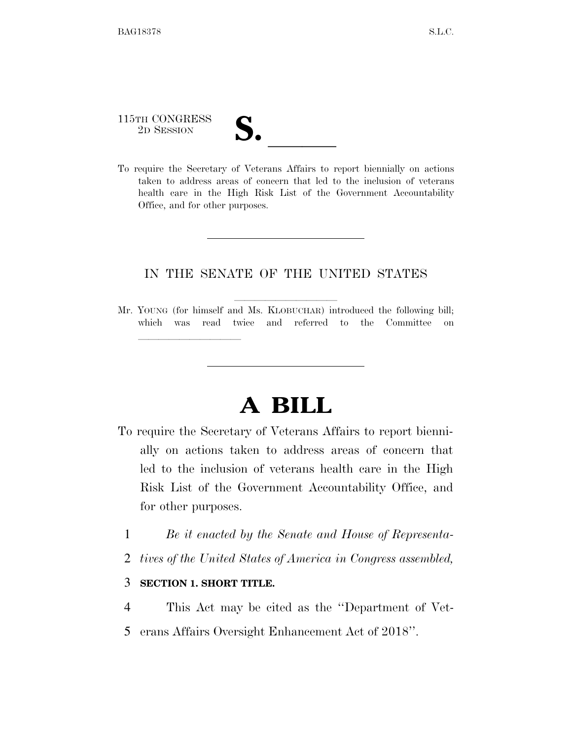# 115TH CONGRESS 115TH CONGRESS<br>
2D SESSION<br>
To require the Secretary of Veterans Affairs to report biennially on actions

lla se a constituída a constituída a constituída a constituída a constituída a constituída a constituída a con

taken to address areas of concern that led to the inclusion of veterans health care in the High Risk List of the Government Accountability Office, and for other purposes.

### IN THE SENATE OF THE UNITED STATES

Mr. YOUNG (for himself and Ms. KLOBUCHAR) introduced the following bill; which was read twice and referred to the Committee on

## **A BILL**

- To require the Secretary of Veterans Affairs to report biennially on actions taken to address areas of concern that led to the inclusion of veterans health care in the High Risk List of the Government Accountability Office, and for other purposes.
	- 1 *Be it enacted by the Senate and House of Representa-*
	- 2 *tives of the United States of America in Congress assembled,*

#### 3 **SECTION 1. SHORT TITLE.**

- 4 This Act may be cited as the ''Department of Vet-
- 5 erans Affairs Oversight Enhancement Act of 2018''.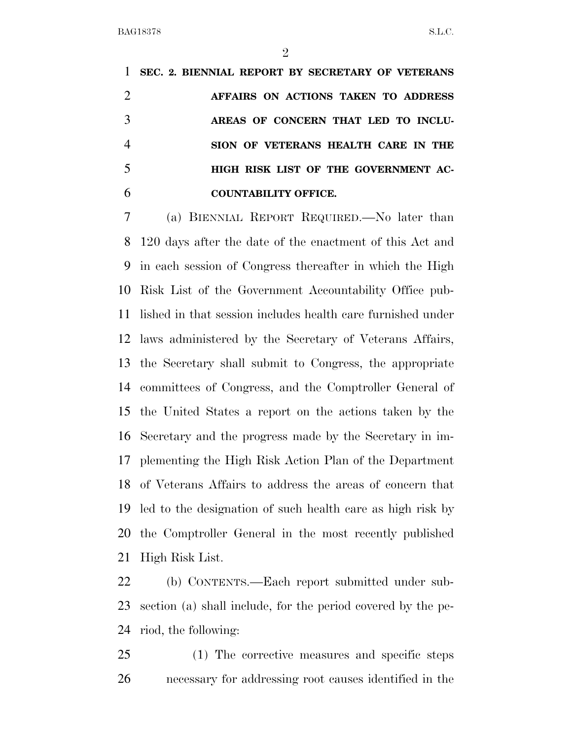$\mathfrak{D}$ 

 **SEC. 2. BIENNIAL REPORT BY SECRETARY OF VETERANS AFFAIRS ON ACTIONS TAKEN TO ADDRESS AREAS OF CONCERN THAT LED TO INCLU- SION OF VETERANS HEALTH CARE IN THE HIGH RISK LIST OF THE GOVERNMENT AC-COUNTABILITY OFFICE.** 

 (a) BIENNIAL REPORT REQUIRED.—No later than 120 days after the date of the enactment of this Act and in each session of Congress thereafter in which the High Risk List of the Government Accountability Office pub- lished in that session includes health care furnished under laws administered by the Secretary of Veterans Affairs, the Secretary shall submit to Congress, the appropriate committees of Congress, and the Comptroller General of the United States a report on the actions taken by the Secretary and the progress made by the Secretary in im- plementing the High Risk Action Plan of the Department of Veterans Affairs to address the areas of concern that led to the designation of such health care as high risk by the Comptroller General in the most recently published High Risk List.

 (b) CONTENTS.—Each report submitted under sub- section (a) shall include, for the period covered by the pe-riod, the following:

 (1) The corrective measures and specific steps necessary for addressing root causes identified in the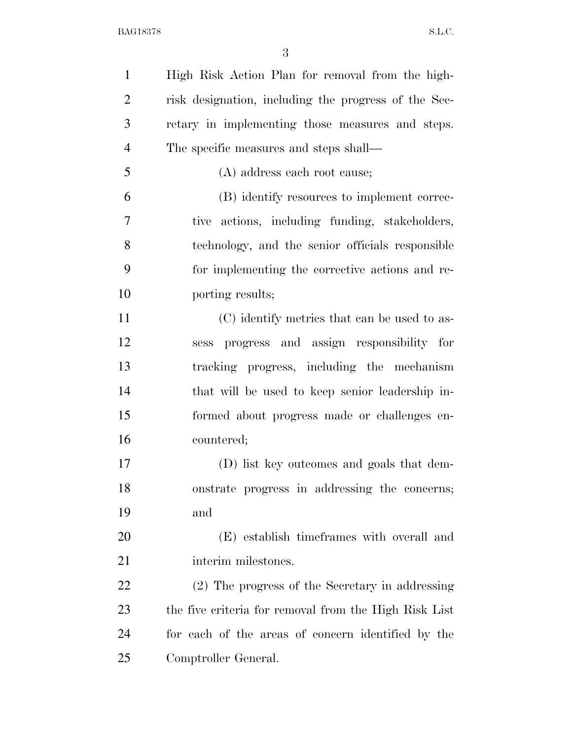| $\mathbf{1}$   | High Risk Action Plan for removal from the high-      |
|----------------|-------------------------------------------------------|
| $\overline{2}$ | risk designation, including the progress of the Sec-  |
| 3              | retary in implementing those measures and steps.      |
| $\overline{4}$ | The specific measures and steps shall—                |
| 5              | (A) address each root cause;                          |
| 6              | (B) identify resources to implement correc-           |
| 7              | tive actions, including funding, stakeholders,        |
| 8              | technology, and the senior officials responsible      |
| 9              | for implementing the corrective actions and re-       |
| 10             | porting results;                                      |
| 11             | (C) identify metrics that can be used to as-          |
| 12             | sess progress and assign responsibility for           |
| 13             | tracking progress, including the mechanism            |
| 14             | that will be used to keep senior leadership in-       |
| 15             | formed about progress made or challenges en-          |
| 16             | countered;                                            |
| 17             | (D) list key outcomes and goals that dem-             |
| 18             | onstrate progress in addressing the concerns;         |
| 19             | and                                                   |
| 20             | (E) establish time frames with overall and            |
| 21             | interim milestones.                                   |
| 22             | (2) The progress of the Secretary in addressing       |
| 23             | the five criteria for removal from the High Risk List |
| 24             | for each of the areas of concern identified by the    |
| 25             | Comptroller General.                                  |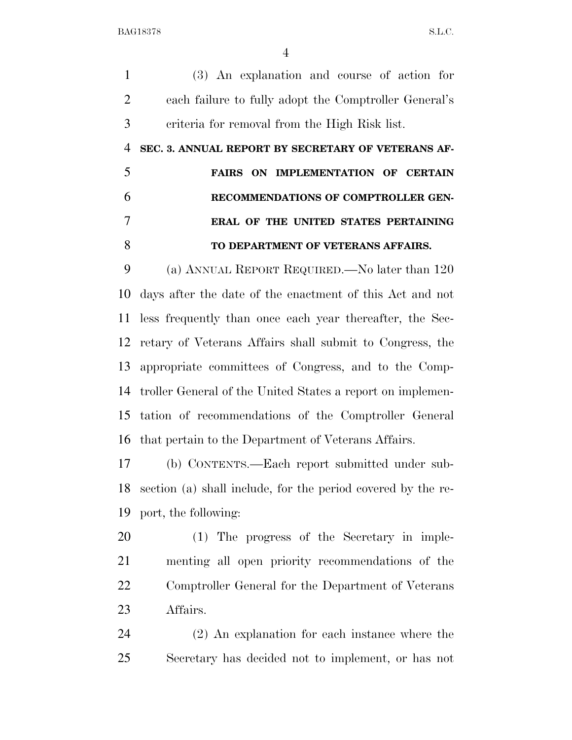(3) An explanation and course of action for each failure to fully adopt the Comptroller General's criteria for removal from the High Risk list.

**SEC. 3. ANNUAL REPORT BY SECRETARY OF VETERANS AF-**

 **FAIRS ON IMPLEMENTATION OF CERTAIN RECOMMENDATIONS OF COMPTROLLER GEN- ERAL OF THE UNITED STATES PERTAINING TO DEPARTMENT OF VETERANS AFFAIRS.** 

 (a) ANNUAL REPORT REQUIRED.—No later than 120 days after the date of the enactment of this Act and not less frequently than once each year thereafter, the Sec- retary of Veterans Affairs shall submit to Congress, the appropriate committees of Congress, and to the Comp- troller General of the United States a report on implemen- tation of recommendations of the Comptroller General that pertain to the Department of Veterans Affairs.

 (b) CONTENTS.—Each report submitted under sub- section (a) shall include, for the period covered by the re-port, the following:

 (1) The progress of the Secretary in imple- menting all open priority recommendations of the Comptroller General for the Department of Veterans Affairs.

 (2) An explanation for each instance where the Secretary has decided not to implement, or has not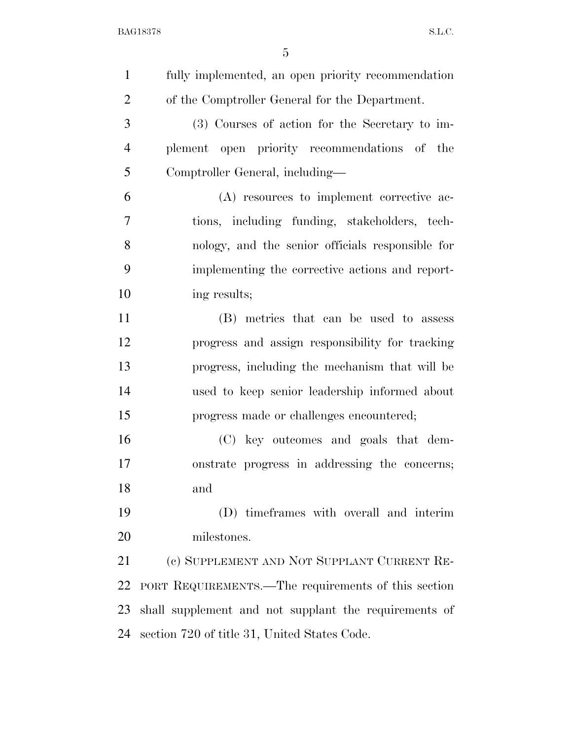| $\mathbf{1}$   | fully implemented, an open priority recommendation    |
|----------------|-------------------------------------------------------|
| $\overline{2}$ | of the Comptroller General for the Department.        |
| 3              | (3) Courses of action for the Secretary to im-        |
| $\overline{4}$ | plement open priority recommendations of the          |
| 5              | Comptroller General, including—                       |
| 6              | (A) resources to implement corrective ac-             |
| 7              | tions, including funding, stakeholders, tech-         |
| 8              | nology, and the senior officials responsible for      |
| 9              | implementing the corrective actions and report-       |
| 10             | ing results;                                          |
| 11             | (B) metrics that can be used to assess                |
| 12             | progress and assign responsibility for tracking       |
| 13             | progress, including the mechanism that will be        |
| 14             | used to keep senior leadership informed about         |
| 15             | progress made or challenges encountered;              |
| 16             | (C) key outcomes and goals that dem-                  |
| 17             | onstrate progress in addressing the concerns;         |
| 18             | and                                                   |
| 19             | (D) time frames with overall and interim              |
| 20             | milestones.                                           |
| 21             | (c) SUPPLEMENT AND NOT SUPPLANT CURRENT RE-           |
| 22             | PORT REQUIREMENTS.—The requirements of this section   |
| 23             | shall supplement and not supplant the requirements of |
| 24             | section 720 of title 31, United States Code.          |
|                |                                                       |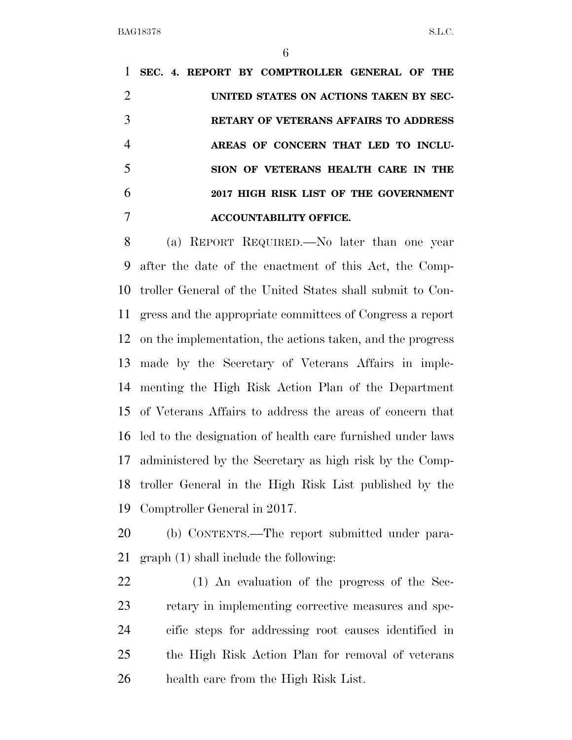**SEC. 4. REPORT BY COMPTROLLER GENERAL OF THE UNITED STATES ON ACTIONS TAKEN BY SEC- RETARY OF VETERANS AFFAIRS TO ADDRESS AREAS OF CONCERN THAT LED TO INCLU- SION OF VETERANS HEALTH CARE IN THE 2017 HIGH RISK LIST OF THE GOVERNMENT ACCOUNTABILITY OFFICE.** 

 (a) REPORT REQUIRED.—No later than one year after the date of the enactment of this Act, the Comp- troller General of the United States shall submit to Con- gress and the appropriate committees of Congress a report on the implementation, the actions taken, and the progress made by the Secretary of Veterans Affairs in imple- menting the High Risk Action Plan of the Department of Veterans Affairs to address the areas of concern that led to the designation of health care furnished under laws administered by the Secretary as high risk by the Comp- troller General in the High Risk List published by the Comptroller General in 2017.

 (b) CONTENTS.—The report submitted under para-graph (1) shall include the following:

 (1) An evaluation of the progress of the Sec- retary in implementing corrective measures and spe- cific steps for addressing root causes identified in the High Risk Action Plan for removal of veterans health care from the High Risk List.